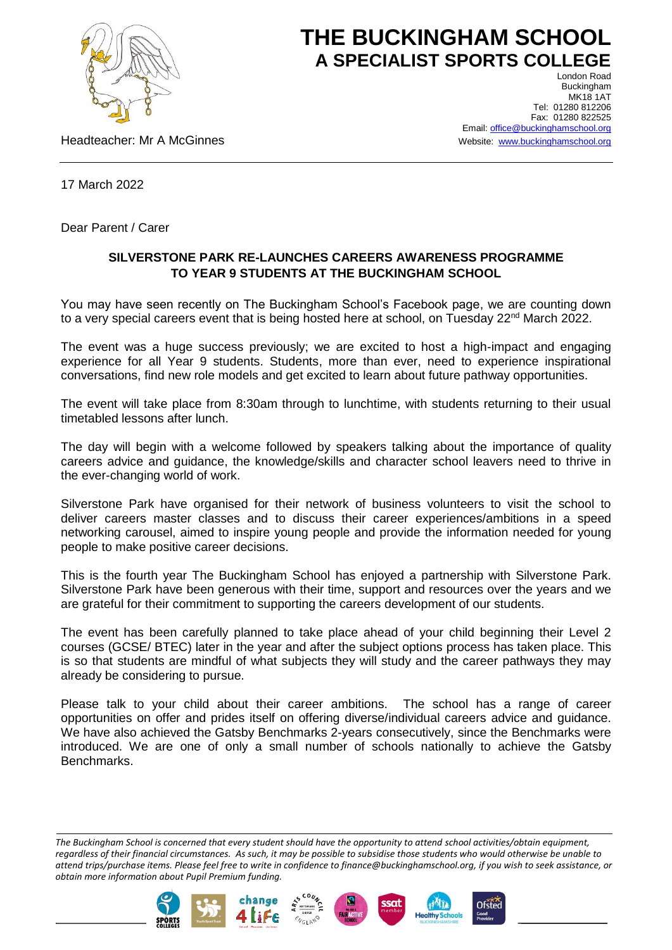

## **THE BUCKINGHAM SCHOOL A SPECIALIST SPORTS COLLEGE** London Road

Headteacher: Mr A McGinnes

Buckingham **MK18 1AT** Tel: 01280 812206 Fax: 01280 822525 Email[: office@buckinghamschool.org](mailto:office@buckinghamschool.org) Website: [www.buckinghamschool.org](http://www.buckinghamschool.org/)

17 March 2022

Dear Parent / Carer

## **SILVERSTONE PARK RE-LAUNCHES CAREERS AWARENESS PROGRAMME TO YEAR 9 STUDENTS AT THE BUCKINGHAM SCHOOL**

You may have seen recently on The Buckingham School's Facebook page, we are counting down to a very special careers event that is being hosted here at school, on Tuesday 22<sup>nd</sup> March 2022.

The event was a huge success previously; we are excited to host a high-impact and engaging experience for all Year 9 students. Students, more than ever, need to experience inspirational conversations, find new role models and get excited to learn about future pathway opportunities.

The event will take place from 8:30am through to lunchtime, with students returning to their usual timetabled lessons after lunch.

The day will begin with a welcome followed by speakers talking about the importance of quality careers advice and guidance, the knowledge/skills and character school leavers need to thrive in the ever-changing world of work.

Silverstone Park have organised for their network of business volunteers to visit the school to deliver careers master classes and to discuss their career experiences/ambitions in a speed networking carousel, aimed to inspire young people and provide the information needed for young people to make positive career decisions.

This is the fourth year The Buckingham School has enjoyed a partnership with Silverstone Park. Silverstone Park have been generous with their time, support and resources over the years and we are grateful for their commitment to supporting the careers development of our students.

The event has been carefully planned to take place ahead of your child beginning their Level 2 courses (GCSE/ BTEC) later in the year and after the subject options process has taken place. This is so that students are mindful of what subjects they will study and the career pathways they may already be considering to pursue.

Please talk to your child about their career ambitions. The school has a range of career opportunities on offer and prides itself on offering diverse/individual careers advice and guidance. We have also achieved the Gatsby Benchmarks 2-years consecutively, since the Benchmarks were introduced. We are one of only a small number of schools nationally to achieve the Gatsby Benchmarks.

*The Buckingham School is concerned that every student should have the opportunity to attend school activities/obtain equipment, regardless of their financial circumstances. As such, it may be possible to subsidise those students who would otherwise be unable to attend trips/purchase items. Please feel free to write in confidence to finance@buckinghamschool.org, if you wish to seek assistance, or obtain more information about Pupil Premium funding.*